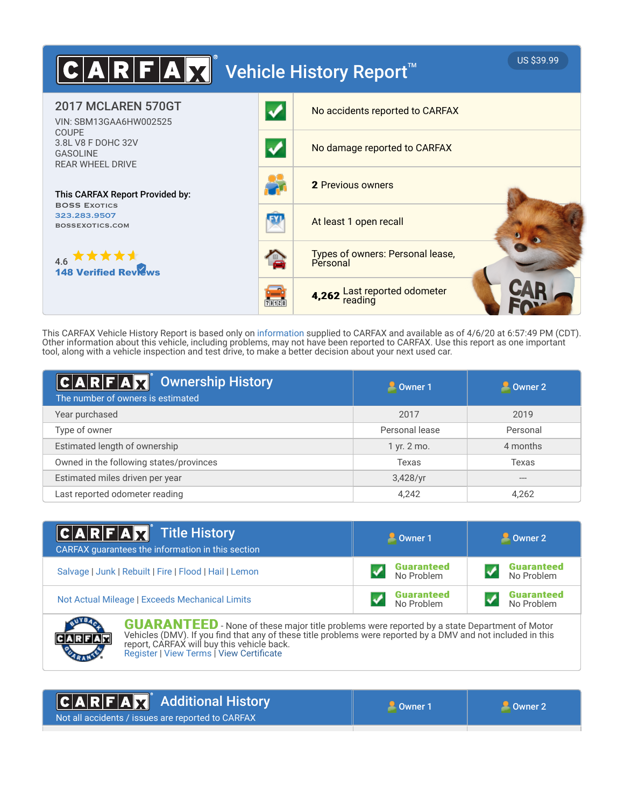

This CARFAX Vehicle History Report is based only on information supplied to CARFAX and available as of 4/6/20 at 6:57:49 PM (CDT). Other information about this vehicle, including problems, may not have been reported to CARFAX. Use this report as one important tool, along with a vehicle inspection and test drive, to make a better decision about your next used car.

| $ C A R F A$ $\mathbf{X}$ Ownership History<br>The number of owners is estimated | $\blacksquare$ Owner 1 | Owner 2  |  |
|----------------------------------------------------------------------------------|------------------------|----------|--|
| Year purchased                                                                   | 2017                   | 2019     |  |
| Type of owner                                                                    | Personal lease         | Personal |  |
| Estimated length of ownership                                                    | 1 yr. 2 mo.            | 4 months |  |
| Owned in the following states/provinces                                          | Texas                  | Texas    |  |
| Estimated miles driven per year                                                  | $3,428$ /yr            | $---$    |  |
| Last reported odometer reading                                                   | 4,242                  | 4,262    |  |

| <b>CARFAX</b> Title History<br>CARFAX guarantees the information in this section | Owner 1                         | Owner 2                         |  |
|----------------------------------------------------------------------------------|---------------------------------|---------------------------------|--|
| Salvage   Junk   Rebuilt   Fire   Flood   Hail   Lemon                           | <b>Guaranteed</b><br>No Problem | <b>Guaranteed</b><br>No Problem |  |
| Not Actual Mileage   Exceeds Mechanical Limits                                   | <b>Guaranteed</b><br>No Problem | <b>Guaranteed</b><br>No Problem |  |



**GUARANTEED** - None of these major title problems were reported by a state Department of Motor Vehicles (DMV). If you find that any of these title problems were reported by a DMV and not included in this report, CARFAX will buy this vehicle back. Register | View Terms | View Certificate

#### Additional History FAM  $\mathbf c$ R Not all accidents / issues are reported to CARFAX

**Owner 1** and 1 Owner 2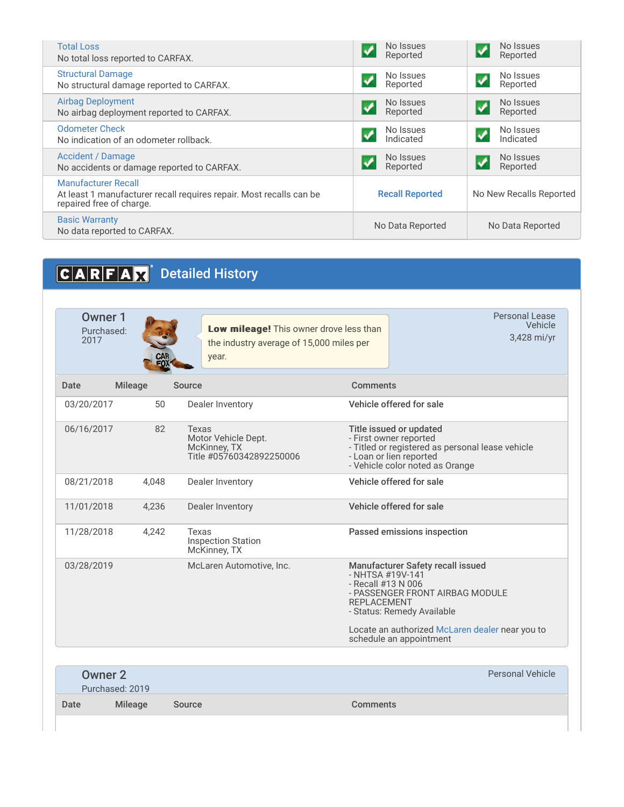| <b>Total Loss</b>                                                                                                      | No Issues              | No Issues               |  |
|------------------------------------------------------------------------------------------------------------------------|------------------------|-------------------------|--|
| No total loss reported to CARFAX.                                                                                      | Reported               | Reported                |  |
| <b>Structural Damage</b>                                                                                               | No Issues              | No Issues               |  |
| No structural damage reported to CARFAX.                                                                               | Reported               | Reported                |  |
| <b>Airbag Deployment</b>                                                                                               | No Issues              | No Issues               |  |
| No airbag deployment reported to CARFAX.                                                                               | Reported               | Reported                |  |
| <b>Odometer Check</b>                                                                                                  | No Issues              | No Issues               |  |
| No indication of an odometer rollback.                                                                                 | Indicated              | Indicated               |  |
| <b>Accident / Damage</b>                                                                                               | No Issues              | No Issues               |  |
| No accidents or damage reported to CARFAX.                                                                             | Reported               | Reported                |  |
| Manufacturer Recall<br>At least 1 manufacturer recall requires repair. Most recalls can be<br>repaired free of charge. | <b>Recall Reported</b> | No New Recalls Reported |  |
| <b>Basic Warranty</b><br>No data reported to CARFAX.                                                                   | No Data Reported       | No Data Reported        |  |
|                                                                                                                        |                        |                         |  |

# CARFAX<sup>®</sup> Detailed History

| Owner 1<br>Purchased:<br>2017 |       | Low mileage! This owner drove less than<br>the industry average of 15,000 miles per<br>year. |                                                                                                                                                                                                       | Personal Lease<br>Vehicle<br>3,428 mi/yr                                                                                                                            |  |
|-------------------------------|-------|----------------------------------------------------------------------------------------------|-------------------------------------------------------------------------------------------------------------------------------------------------------------------------------------------------------|---------------------------------------------------------------------------------------------------------------------------------------------------------------------|--|
| <b>Mileage</b><br>Date        |       | Source                                                                                       | <b>Comments</b>                                                                                                                                                                                       |                                                                                                                                                                     |  |
| 03/20/2017                    | 50    | Dealer Inventory                                                                             | Vehicle offered for sale                                                                                                                                                                              |                                                                                                                                                                     |  |
| 06/16/2017                    | 82    | Texas<br>Motor Vehicle Dept.<br>McKinney, TX<br>Title #05760342892250006                     |                                                                                                                                                                                                       | Title issued or updated<br>- First owner reported<br>- Titled or registered as personal lease vehicle<br>- Loan or lien reported<br>- Vehicle color noted as Orange |  |
| 08/21/2018                    | 4.048 | Dealer Inventory                                                                             | Vehicle offered for sale                                                                                                                                                                              |                                                                                                                                                                     |  |
| 11/01/2018                    | 4,236 | Dealer Inventory                                                                             | Vehicle offered for sale                                                                                                                                                                              |                                                                                                                                                                     |  |
| 11/28/2018                    | 4.242 | Texas<br><b>Inspection Station</b><br>McKinney, TX                                           | Passed emissions inspection                                                                                                                                                                           |                                                                                                                                                                     |  |
| 03/28/2019                    |       | McLaren Automotive, Inc.                                                                     | <b>Manufacturer Safety recall issued</b><br>- NHTSA #19V-141<br>- Recall #13 N 006<br>- PASSENGER FRONT AIRBAG MODULE<br><b>REPI ACEMENT</b><br>- Status: Remedy Available<br>schedule an appointment | Locate an authorized McLaren dealer near you to                                                                                                                     |  |

| Owner 2 | Purchased: 2019 |        |                 | <b>Personal Vehicle</b> |
|---------|-----------------|--------|-----------------|-------------------------|
| Date    | <b>Mileage</b>  | Source | <b>Comments</b> |                         |